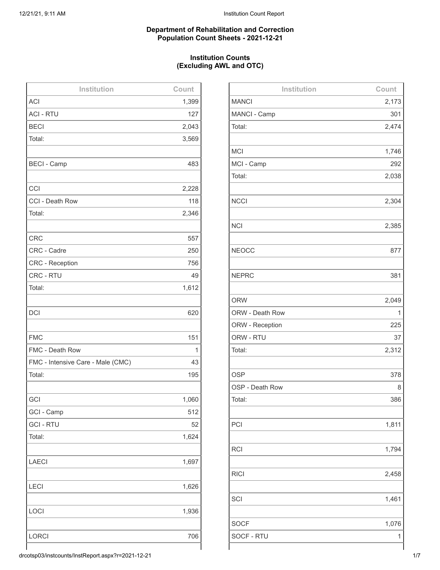### **Department of Rehabilitation and Correction Population Count Sheets - 2021-12-21**

### **Institution Counts (Excluding AWL and OTC)**

| Institution                       | Count |
|-----------------------------------|-------|
| <b>ACI</b>                        | 1,399 |
| <b>ACI - RTU</b>                  | 127   |
| <b>BECI</b>                       | 2,043 |
| Total:                            | 3,569 |
|                                   |       |
| <b>BECI - Camp</b>                | 483   |
|                                   |       |
| CCI                               | 2,228 |
| CCI - Death Row                   | 118   |
| Total:                            | 2,346 |
|                                   |       |
| <b>CRC</b>                        | 557   |
| CRC - Cadre                       | 250   |
| <b>CRC</b> - Reception            | 756   |
| CRC - RTU                         | 49    |
| Total:                            | 1,612 |
|                                   |       |
| <b>DCI</b>                        | 620   |
|                                   |       |
| <b>FMC</b>                        | 151   |
| FMC - Death Row                   | 1     |
| FMC - Intensive Care - Male (CMC) | 43    |
| Total:                            | 195   |
|                                   |       |
| GCI                               | 1,060 |
| GCI - Camp                        | 512   |
| <b>GCI - RTU</b>                  | 52    |
| Total:                            | 1,624 |
|                                   |       |
| <b>LAECI</b>                      | 1,697 |
|                                   |       |
| <b>LECI</b>                       | 1,626 |
|                                   |       |
| LOCI                              | 1,936 |
|                                   |       |
| <b>LORCI</b>                      | 706   |
|                                   |       |

| Institution     | Count |
|-----------------|-------|
| <b>MANCI</b>    | 2,173 |
| MANCI - Camp    | 301   |
| Total:          | 2,474 |
|                 |       |
| <b>MCI</b>      | 1,746 |
| MCI - Camp      | 292   |
| Total:          | 2,038 |
|                 |       |
| <b>NCCI</b>     | 2,304 |
|                 |       |
| <b>NCI</b>      | 2,385 |
|                 |       |
| <b>NEOCC</b>    | 877   |
|                 |       |
| <b>NEPRC</b>    | 381   |
|                 |       |
| <b>ORW</b>      | 2,049 |
| ORW - Death Row | 1     |
| ORW - Reception | 225   |
| ORW - RTU       | 37    |
| Total:          | 2,312 |
|                 |       |
| <b>OSP</b>      | 378   |
| OSP - Death Row | 8     |
| Total:          | 386   |
|                 |       |
| PCI             | 1,811 |
|                 |       |
| <b>RCI</b>      | 1,794 |
|                 |       |
| <b>RICI</b>     | 2,458 |
|                 |       |
| SCI             | 1,461 |
|                 |       |
| <b>SOCF</b>     | 1,076 |
| SOCF - RTU      | 1     |
|                 |       |

drcotsp03/instcounts/InstReport.aspx?r=2021-12-21 1/7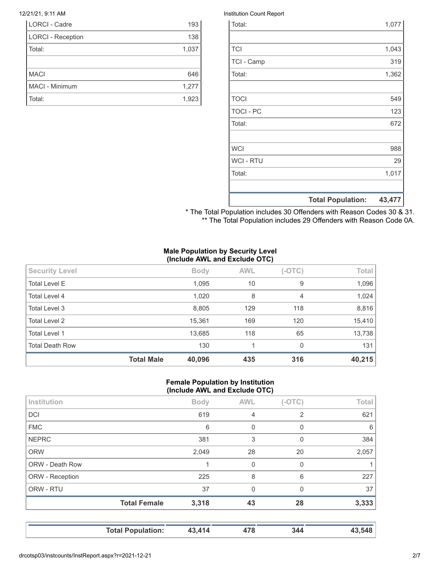| <b>LORCI - Cadre</b>     | 193   |
|--------------------------|-------|
| <b>LORCI - Reception</b> | 138   |
| Total:                   | 1,037 |
|                          |       |
| <b>MACI</b>              | 646   |
| MACI - Minimum           | 1,277 |
| Total:                   | 1,923 |

### 12/21/21, 9:11 AM Institution Count Report

|                  | <b>Total Population:</b> | 43,477 |
|------------------|--------------------------|--------|
|                  |                          |        |
| Total:           |                          | 1,017  |
| <b>WCI - RTU</b> |                          | 29     |
| <b>WCI</b>       |                          | 988    |
|                  |                          |        |
| Total:           |                          | 672    |
| <b>TOCI - PC</b> |                          | 123    |
| <b>TOCI</b>      |                          | 549    |
|                  |                          |        |
| Total:           |                          | 1,362  |
| TCI - Camp       |                          | 319    |
| <b>TCI</b>       |                          | 1,043  |
|                  |                          |        |
| Total:           |                          | 1,077  |

\* The Total Population includes 30 Offenders with Reason Codes 30 & 31. \*\* The Total Population includes 29 Offenders with Reason Code 0A.

### **Male Population by Security Level (Include AWL and Exclude OTC)**

|                        | <b>Total Male</b> | 40,096      | 435        | 316                      | 40,215 |
|------------------------|-------------------|-------------|------------|--------------------------|--------|
| <b>Total Death Row</b> |                   | 130         | 1          | $\Omega$                 | 131    |
| <b>Total Level 1</b>   |                   | 13,685      | 118        | 65                       | 13,738 |
| <b>Total Level 2</b>   |                   | 15,361      | 169        | 120                      | 15,410 |
| Total Level 3          |                   | 8,805       | 129        | 118                      | 8,816  |
| Total Level 4          |                   | 1,020       | 8          | $\overline{4}$           | 1,024  |
| <b>Total Level E</b>   |                   | 1,095       | 10         | 9                        | 1,096  |
| <b>Security Level</b>  |                   | <b>Body</b> | <b>AWL</b> | $(-OTC)$                 | Total  |
|                        |                   |             |            | $\overline{\phantom{a}}$ |        |

### **Female Population by Institution (Include AWL and Exclude OTC)**

| <b>Total Female</b> | 225<br>37<br>3,318 | 8<br>$\Omega$<br>43 | 6<br>0<br>28 | 227<br>37<br>3,333 |
|---------------------|--------------------|---------------------|--------------|--------------------|
|                     |                    |                     |              |                    |
|                     |                    |                     |              |                    |
|                     |                    |                     |              |                    |
|                     |                    | $\Omega$            | 0            |                    |
|                     | 2,049              | 28                  | 20           | 2,057              |
|                     | 381                | 3                   | 0            | 384                |
|                     | 6                  | 0                   | 0            | 6                  |
|                     | 619                | $\overline{4}$      | 2            | 621                |
|                     | <b>Body</b>        | <b>AWL</b>          | $(-OTC)$     | <b>Total</b>       |
|                     |                    |                     |              |                    |

**Total Population: 43,414 478 344 43,548**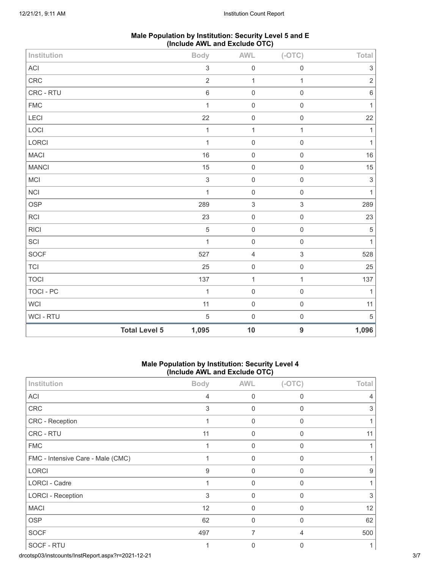| Male Population by Institution: Security Level 5 and E |
|--------------------------------------------------------|
| (Include AWL and Exclude OTC)                          |

| Institution  |                      | <b>Body</b>  | AWL                 | $(-OTC)$                  | Total                     |
|--------------|----------------------|--------------|---------------------|---------------------------|---------------------------|
| $\sf ACI$    |                      | $\sqrt{3}$   | $\mathsf{O}\xspace$ | $\mathsf{O}\xspace$       | $\ensuremath{\mathsf{3}}$ |
| CRC          |                      | $\sqrt{2}$   | $\mathbf{1}$        | $\mathbf{1}$              | $\sqrt{2}$                |
| CRC - RTU    |                      | $\,$ 6 $\,$  | $\mathbf 0$         | $\mathsf{O}\xspace$       | $\,6\,$                   |
| ${\sf FMC}$  |                      | $\mathbf{1}$ | $\mathbf 0$         | $\mathbf 0$               | $\mathbf{1}$              |
| LECI         |                      | 22           | $\mathsf{O}\xspace$ | $\mathbf 0$               | $22\,$                    |
| LOCI         |                      | $\mathbf{1}$ | $\mathbf{1}$        | $\mathbf{1}$              | $\mathbf{1}$              |
| LORCI        |                      | $\mathbf{1}$ | $\mathsf{O}\xspace$ | $\mathsf{O}\xspace$       | $\mathbf{1}$              |
| <b>MACI</b>  |                      | 16           | $\mathbf 0$         | $\mathsf{O}\xspace$       | $16\,$                    |
| <b>MANCI</b> |                      | 15           | $\mathsf{O}\xspace$ | $\mathsf{O}\xspace$       | $15\,$                    |
| <b>MCI</b>   |                      | $\mathsf 3$  | $\mathsf{O}\xspace$ | $\mathbf 0$               | $\ensuremath{\mathsf{3}}$ |
| <b>NCI</b>   |                      | $\mathbf{1}$ | $\mathbf 0$         | $\mathbf 0$               | $\mathbf{1}$              |
| <b>OSP</b>   |                      | 289          | $\sqrt{3}$          | $\ensuremath{\mathsf{3}}$ | 289                       |
| RCI          |                      | 23           | $\mathsf{O}\xspace$ | $\mathsf{O}\xspace$       | 23                        |
| <b>RICI</b>  |                      | $\sqrt{5}$   | $\mathbf 0$         | $\mathsf{O}\xspace$       | $\,$ 5 $\,$               |
| SCI          |                      | $\mathbf{1}$ | $\mathbf 0$         | $\mathsf{O}\xspace$       | $\mathbf{1}$              |
| SOCF         |                      | 527          | $\overline{4}$      | $\ensuremath{\mathsf{3}}$ | 528                       |
| <b>TCI</b>   |                      | 25           | $\mathsf{O}\xspace$ | $\,0\,$                   | 25                        |
| <b>TOCI</b>  |                      | 137          | $\mathbf{1}$        | 1                         | 137                       |
| TOCI - PC    |                      | $\mathbf{1}$ | $\mathbf 0$         | $\mathsf{O}\xspace$       | $\mathbf{1}$              |
| <b>WCI</b>   |                      | 11           | $\mathbf 0$         | $\mathbf 0$               | 11                        |
| WCI - RTU    |                      | $\sqrt{5}$   | $\mathbf 0$         | $\mathbf 0$               | $\sqrt{5}$                |
|              | <b>Total Level 5</b> | 1,095        | 10                  | $\boldsymbol{9}$          | 1,096                     |

### **Male Population by Institution: Security Level 4 (Include AWL and Exclude OTC)**

| Institution                       | <b>Body</b> | <b>AWL</b>   | $(-OTC)$     | Total |
|-----------------------------------|-------------|--------------|--------------|-------|
| <b>ACI</b>                        | 4           | $\mathbf{0}$ | 0            | 4     |
| CRC                               | 3           | 0            | $\mathbf 0$  | 3     |
| CRC - Reception                   |             | 0            | 0            |       |
| CRC - RTU                         | 11          | $\mathbf{0}$ | 0            | 11    |
| <b>FMC</b>                        | 1           | $\mathbf 0$  | 0            |       |
| FMC - Intensive Care - Male (CMC) |             | 0            | 0            |       |
| <b>LORCI</b>                      | 9           | $\Omega$     | 0            | 9     |
| LORCI - Cadre                     | 1           | $\Omega$     | $\mathbf{0}$ |       |
| <b>LORCI - Reception</b>          | 3           | 0            | 0            | 3     |
| <b>MACI</b>                       | 12          | 0            | 0            | 12    |
| <b>OSP</b>                        | 62          | $\mathbf 0$  | $\mathbf{0}$ | 62    |
| <b>SOCF</b>                       | 497         | 7            | 4            | 500   |
| SOCF - RTU                        |             | 0            | 0            | 1     |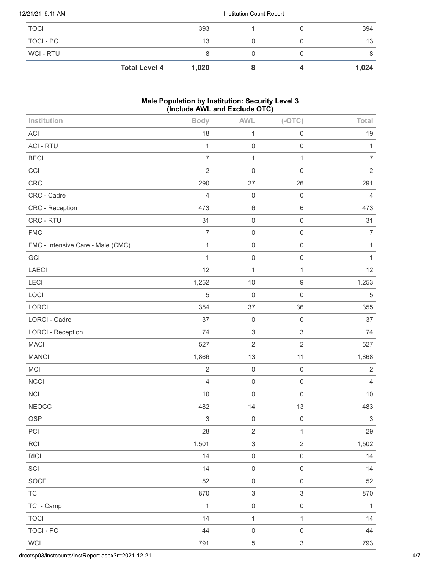### 12/21/21, 9:11 AM Institution Count Report

| <b>TOCI</b>    |                      | 393   |  | 394   |
|----------------|----------------------|-------|--|-------|
| TOCI - PC      |                      | 13    |  | 13    |
| <b>WCI-RTU</b> |                      |       |  |       |
|                | <b>Total Level 4</b> | 1,020 |  | 1,024 |

## **Male Population by Institution: Security Level 3 (Include AWL and Exclude OTC)**

| Institution                       | <b>Body</b>    | <b>AWL</b>          | $(-OTC)$                  | Total          |
|-----------------------------------|----------------|---------------------|---------------------------|----------------|
| <b>ACI</b>                        | 18             | $\mathbf{1}$        | $\mathsf{O}\xspace$       | 19             |
| <b>ACI - RTU</b>                  | 1              | $\mathsf{O}\xspace$ | $\mathsf{O}\xspace$       | $\mathbf{1}$   |
| <b>BECI</b>                       | $\overline{7}$ | $\mathbf 1$         | $\mathbf{1}$              | $\overline{7}$ |
| CCI                               | $\overline{2}$ | $\mathsf 0$         | $\mathsf 0$               | $\overline{2}$ |
| <b>CRC</b>                        | 290            | 27                  | 26                        | 291            |
| CRC - Cadre                       | $\overline{4}$ | $\mathsf 0$         | $\mathsf{O}\xspace$       | $\overline{4}$ |
| CRC - Reception                   | 473            | $\,6\,$             | $\,6\,$                   | 473            |
| CRC - RTU                         | 31             | $\mathsf 0$         | $\mathsf 0$               | 31             |
| <b>FMC</b>                        | $\overline{7}$ | $\mathsf 0$         | $\mathsf{O}\xspace$       | $\overline{7}$ |
| FMC - Intensive Care - Male (CMC) | $\mathbf{1}$   | $\mathsf 0$         | $\mathsf 0$               | 1              |
| GCI                               | $\mathbf{1}$   | $\mathsf{O}\xspace$ | $\mathsf 0$               | $\mathbf{1}$   |
| LAECI                             | 12             | $\mathbf{1}$        | $\mathbf{1}$              | 12             |
| LECI                              | 1,252          | 10                  | $\boldsymbol{9}$          | 1,253          |
| LOCI                              | 5              | $\mathbf 0$         | $\mathsf 0$               | $\sqrt{5}$     |
| LORCI                             | 354            | 37                  | 36                        | 355            |
| LORCI - Cadre                     | 37             | $\mathbf 0$         | $\mathbf 0$               | 37             |
| <b>LORCI - Reception</b>          | 74             | $\mathfrak{S}$      | $\ensuremath{\mathsf{3}}$ | 74             |
| <b>MACI</b>                       | 527            | $\overline{2}$      | $\sqrt{2}$                | 527            |
| <b>MANCI</b>                      | 1,866          | 13                  | 11                        | 1,868          |
| <b>MCI</b>                        | $\overline{2}$ | $\mathsf{O}\xspace$ | $\mathbf 0$               | $\sqrt{2}$     |
| <b>NCCI</b>                       | $\overline{4}$ | $\mathbf 0$         | $\mathsf 0$               | $\overline{4}$ |
| <b>NCI</b>                        | 10             | $\mathsf 0$         | $\mathsf 0$               | 10             |
| <b>NEOCC</b>                      | 482            | 14                  | 13                        | 483            |
| <b>OSP</b>                        | 3              | $\mathsf{O}\xspace$ | $\mathsf{O}\xspace$       | $\sqrt{3}$     |
| PCI                               | 28             | $\sqrt{2}$          | $\mathbf{1}$              | 29             |
| <b>RCI</b>                        | 1,501          | $\sqrt{3}$          | $\overline{2}$            | 1,502          |
| <b>RICI</b>                       | 14             | $\mathsf{O}\xspace$ | $\mathsf{O}\xspace$       | $14$           |
| SCI                               | 14             | $\mathsf{O}\xspace$ | $\,0\,$                   | 14             |
| <b>SOCF</b>                       | 52             | $\,0\,$             | $\mathsf{O}\xspace$       | 52             |
| <b>TCI</b>                        | 870            | $\sqrt{3}$          | $\sqrt{3}$                | 870            |
| TCI - Camp                        | $\mathbf{1}$   | $\mathsf{O}\xspace$ | $\mathsf{O}\xspace$       | $\mathbf{1}$   |
| <b>TOCI</b>                       | 14             | $\mathbf{1}$        | $\mathbf{1}$              | 14             |
| <b>TOCI - PC</b>                  | 44             | $\mathsf{O}\xspace$ | $\mathsf 0$               | 44             |
| <b>WCI</b>                        | 791            | $\,$ 5 $\,$         | $\sqrt{3}$                | 793            |
|                                   |                |                     |                           |                |

drcotsp03/instcounts/InstReport.aspx?r=2021-12-21 4/7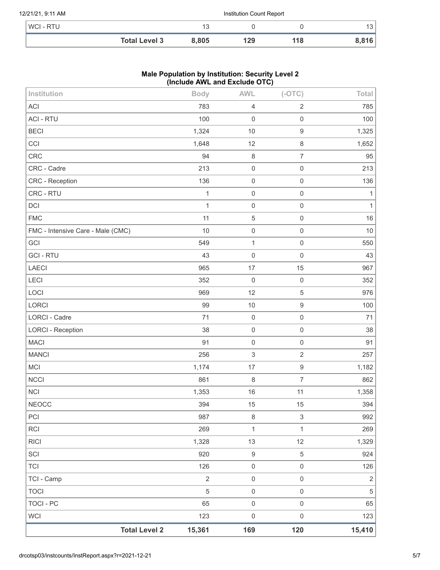|           |                   | <b>Total Level 3</b>     | 8.805 | 129 | 118 | 8,816 |
|-----------|-------------------|--------------------------|-------|-----|-----|-------|
| WCI - RTU |                   |                          |       |     |     | 13    |
|           | 12/21/21, 9:11 AM | Institution Count Report |       |     |     |       |

### **Male Population by Institution: Security Level 2 (Include AWL and Exclude OTC)**

| Institution                       |                      | <b>Body</b>    | <b>AWL</b>       | $(-OTC)$            | Total          |
|-----------------------------------|----------------------|----------------|------------------|---------------------|----------------|
| ACI                               |                      | 783            | $\overline{4}$   | $\overline{2}$      | 785            |
| <b>ACI - RTU</b>                  |                      | 100            | $\mathbf 0$      | $\mathsf 0$         | 100            |
| <b>BECI</b>                       |                      | 1,324          | $10$             | $\boldsymbol{9}$    | 1,325          |
| CCI                               |                      | 1,648          | 12               | $\,8\,$             | 1,652          |
| CRC                               |                      | 94             | $\,8\,$          | $\overline{7}$      | 95             |
| CRC - Cadre                       |                      | 213            | $\mathbf 0$      | $\mathsf 0$         | 213            |
| CRC - Reception                   |                      | 136            | $\mathbf 0$      | $\mathsf{O}\xspace$ | 136            |
| CRC - RTU                         |                      | $\mathbf{1}$   | $\mathbf 0$      | $\mathsf 0$         | $\mathbf{1}$   |
| DCI                               |                      | $\mathbf{1}$   | $\mathbf 0$      | $\mathsf 0$         | $\mathbf{1}$   |
| <b>FMC</b>                        |                      | 11             | 5                | $\mathsf 0$         | 16             |
| FMC - Intensive Care - Male (CMC) |                      | 10             | $\mathbf 0$      | $\mathsf 0$         | $10$           |
| GCI                               |                      | 549            | $\mathbf{1}$     | $\mathsf 0$         | 550            |
| <b>GCI - RTU</b>                  |                      | 43             | $\mathbf 0$      | $\mathsf 0$         | 43             |
| LAECI                             |                      | 965            | 17               | 15                  | 967            |
| LECI                              |                      | 352            | $\mathbf 0$      | $\mathsf 0$         | 352            |
| LOCI                              |                      | 969            | 12               | $\sqrt{5}$          | 976            |
| LORCI                             |                      | 99             | 10               | $\boldsymbol{9}$    | 100            |
| LORCI - Cadre                     |                      | 71             | $\mathbf 0$      | $\mathsf 0$         | 71             |
| <b>LORCI - Reception</b>          |                      | 38             | $\mathbf 0$      | $\mathsf{O}\xspace$ | 38             |
| <b>MACI</b>                       |                      | 91             | $\mathbf 0$      | $\mathsf 0$         | 91             |
| <b>MANCI</b>                      |                      | 256            | $\mathfrak{S}$   | $\sqrt{2}$          | 257            |
| <b>MCI</b>                        |                      | 1,174          | 17               | $\boldsymbol{9}$    | 1,182          |
| <b>NCCI</b>                       |                      | 861            | $\,8\,$          | $\overline{7}$      | 862            |
| <b>NCI</b>                        |                      | 1,353          | 16               | 11                  | 1,358          |
| <b>NEOCC</b>                      |                      | 394            | 15               | 15                  | 394            |
| PCI                               |                      | 987            | $\,8\,$          | $\,$ 3 $\,$         | 992            |
| <b>RCI</b>                        |                      | 269            | $\mathbf{1}$     | $\mathbf{1}$        | 269            |
| <b>RICI</b>                       |                      | 1,328          | 13               | 12                  | 1,329          |
| SCI                               |                      | 920            | $\boldsymbol{9}$ | 5                   | 924            |
| <b>TCI</b>                        |                      | 126            | $\mathbf 0$      | $\mathsf{O}\xspace$ | 126            |
| TCI - Camp                        |                      | $\overline{2}$ | $\mathbf 0$      | $\mathsf{O}\xspace$ | $\overline{2}$ |
| <b>TOCI</b>                       |                      | 5              | $\mathbf 0$      | $\mathsf 0$         | $\sqrt{5}$     |
| <b>TOCI - PC</b>                  |                      | 65             | $\mathbf 0$      | $\mathsf{O}\xspace$ | 65             |
| <b>WCI</b>                        |                      | 123            | $\boldsymbol{0}$ | $\mathsf 0$         | 123            |
|                                   | <b>Total Level 2</b> | 15,361         | 169              | 120                 | 15,410         |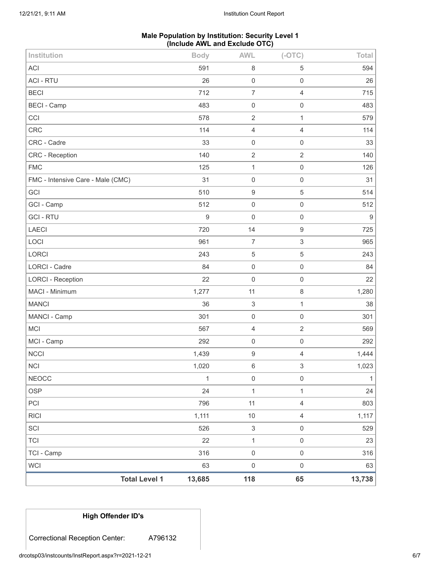### **Male Population by Institution: Security Level 1 (Include AWL and Exclude OTC)**

| Institution                       | <b>Body</b>                    | <b>AWL</b>                | $(-OTC)$                  | Total            |
|-----------------------------------|--------------------------------|---------------------------|---------------------------|------------------|
| <b>ACI</b>                        | 591                            | $\,8\,$                   | $\mathbf 5$               | 594              |
| <b>ACI - RTU</b>                  | 26                             | $\mathbf 0$               | $\mathsf{O}\xspace$       | 26               |
| <b>BECI</b>                       | 712                            | $\overline{7}$            | $\overline{4}$            | 715              |
| <b>BECI - Camp</b>                | 483                            | $\mathbf 0$               | $\mathsf{O}\xspace$       | 483              |
| CCI                               | 578                            | $\sqrt{2}$                | $\mathbf{1}$              | 579              |
| <b>CRC</b>                        | 114                            | $\overline{4}$            | $\overline{4}$            | 114              |
| CRC - Cadre                       | 33                             | $\mathbf 0$               | $\mathsf{O}\xspace$       | 33               |
| CRC - Reception                   | 140                            | $\overline{2}$            | $\overline{c}$            | 140              |
| <b>FMC</b>                        | 125                            | $\mathbf 1$               | $\mathsf 0$               | 126              |
| FMC - Intensive Care - Male (CMC) | 31                             | $\mathbf 0$               | $\mathsf{O}\xspace$       | 31               |
| GCI                               | 510                            | $\boldsymbol{9}$          | $\mathbf 5$               | 514              |
| GCI - Camp                        | 512                            | $\mathbf 0$               | $\mathsf{O}\xspace$       | 512              |
| <b>GCI-RTU</b>                    | 9                              | $\mathbf 0$               | $\mathsf{O}\xspace$       | $\boldsymbol{9}$ |
| <b>LAECI</b>                      | 720                            | 14                        | $\boldsymbol{9}$          | 725              |
| LOCI                              | 961                            | $\overline{7}$            | $\ensuremath{\mathsf{3}}$ | 965              |
| LORCI                             | 243                            | 5                         | $\mathbf 5$               | 243              |
| <b>LORCI - Cadre</b>              | 84                             | $\mathbf 0$               | $\mathsf{O}\xspace$       | 84               |
| <b>LORCI - Reception</b>          | 22                             | $\mathbf 0$               | $\mathsf{O}\xspace$       | 22               |
| MACI - Minimum                    | 1,277                          | 11                        | 8                         | 1,280            |
| <b>MANCI</b>                      | 36                             | 3                         | $\mathbf{1}$              | 38               |
| MANCI - Camp                      | 301                            | $\mathbf 0$               | $\mathsf{O}\xspace$       | 301              |
| <b>MCI</b>                        | 567                            | $\overline{4}$            | $\overline{2}$            | 569              |
| MCI - Camp                        | 292                            | $\mathbf 0$               | $\mathsf{O}\xspace$       | 292              |
| <b>NCCI</b>                       | 1,439                          | $\boldsymbol{9}$          | $\overline{4}$            | 1,444            |
| <b>NCI</b>                        | 1,020                          | $\,$ 6 $\,$               | 3                         | 1,023            |
| <b>NEOCC</b>                      | $\mathbf{1}$                   | $\mathbf 0$               | $\mathsf 0$               | 1                |
| <b>OSP</b>                        | 24                             | $\mathbf{1}$              | $\mathbf{1}$              | 24               |
| PCI                               | 796                            | 11                        | $\overline{4}$            | 803              |
| <b>RICI</b>                       | 1,111                          | $10$                      | $\overline{4}$            | 1,117            |
| SCI                               | 526                            | $\ensuremath{\mathsf{3}}$ | $\mathsf{O}\xspace$       | 529              |
| <b>TCI</b>                        | 22                             | $\mathbf 1$               | $\mathsf{O}\xspace$       | 23               |
| TCI - Camp                        | 316                            | $\mathbf 0$               | $\mathsf{O}\xspace$       | 316              |
| <b>WCI</b>                        | 63                             | $\mathbf 0$               | $\mathsf{O}\xspace$       | 63               |
|                                   | <b>Total Level 1</b><br>13,685 | 118                       | 65                        | 13,738           |

# **High Offender ID's**

Correctional Reception Center: A796132